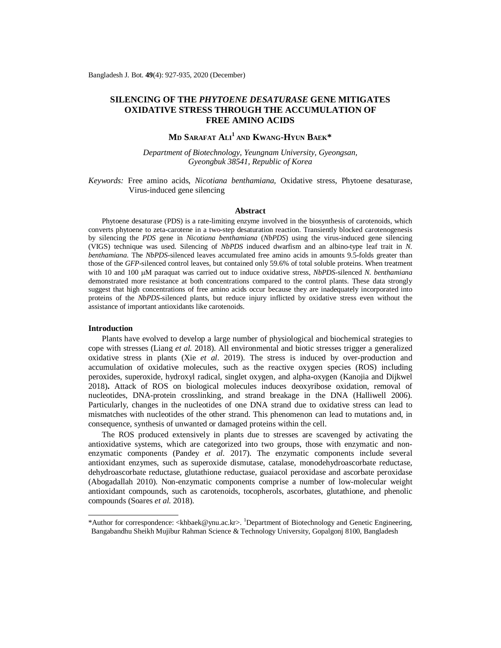## **SILENCING OF THE** *PHYTOENE DESATURASE* **GENE MITIGATES OXIDATIVE STRESS THROUGH THE ACCUMULATION OF FREE AMINO ACIDS**

# **M<sup>D</sup> SARAFAT ALI<sup>1</sup> AND KWANG-HYUN BAEK\***

*Department of Biotechnology, Yeungnam University, Gyeongsan, Gyeongbuk 38541, Republic of Korea*

*Keywords:* Free amino acids, *Nicotiana benthamiana,* Oxidative stress, Phytoene desaturase*,*  Virus-induced gene silencing

#### **Abstract**

Phytoene desaturase (PDS) is a rate-limiting enzyme involved in the biosynthesis of carotenoids, which converts phytoene to zeta-carotene in a two-step desaturation reaction. Transiently blocked carotenogenesis by silencing the *PDS* gene in *Nicotiana benthamiana* (*NbPDS*) using the virus-induced gene silencing (VIGS) technique was used. Silencing of *NbPDS* induced dwarfism and an albino-type leaf trait in *N. benthamiana*. The *NbPDS-*silenced leaves accumulated free amino acids in amounts 9.5-folds greater than those of the *GFP*-silenced control leaves, but contained only 59.6% of total soluble proteins. When treatment with 10 and 100 uM paraquat was carried out to induce oxidative stress, *NbPDS*-silenced *N. benthamiana* demonstrated more resistance at both concentrations compared to the control plants. These data strongly suggest that high concentrations of free amino acids occur because they are inadequately incorporated into proteins of the *NbPDS*-silenced plants, but reduce injury inflicted by oxidative stress even without the assistance of important antioxidants like carotenoids.

## **Introduction**

Plants have evolved to develop a large number of physiological and biochemical strategies to cope with stresses (Liang *et al.* 2018). All environmental and biotic stresses trigger a generalized oxidative stress in plants (Xie *et al*. 2019). The stress is induced by over-production and accumulation of oxidative molecules, such as the reactive oxygen species (ROS) including peroxides, superoxide, hydroxyl radical, singlet oxygen, and alpha-oxygen (Kanojia and Dijkwel 2018)**.** Attack of ROS on biological molecules induces deoxyribose oxidation, removal of nucleotides, DNA-protein crosslinking, and strand breakage in the DNA (Halliwell 2006). Particularly, changes in the nucleotides of one DNA strand due to oxidative stress can lead to mismatches with nucleotides of the other strand. This phenomenon can lead to mutations and, in consequence, synthesis of unwanted or damaged proteins within the cell.

The ROS produced extensively in plants due to stresses are scavenged by activating the antioxidative systems, which are categorized into two groups, those with enzymatic and nonenzymatic components (Pandey *et al.* 2017). The enzymatic components include several antioxidant enzymes, such as superoxide dismutase, catalase, monodehydroascorbate reductase, dehydroascorbate reductase, glutathione reductase, guaiacol peroxidase and ascorbate peroxidase (Abogadallah 2010). Non-enzymatic components comprise a number of low-molecular weight antioxidant compounds, such as carotenoids, tocopherols, ascorbates, glutathione, and phenolic compounds (Soares *et al.* 2018).

<sup>\*</sup>Author for correspondence: [<khbaek@ynu.ac.kr](mailto:khbaek@ynu.ac.kr)>. <sup>1</sup>Department of Biotechnology and Genetic Engineering, Bangabandhu Sheikh Mujibur Rahman Science & Technology University, Gopalgonj 8100, Bangladesh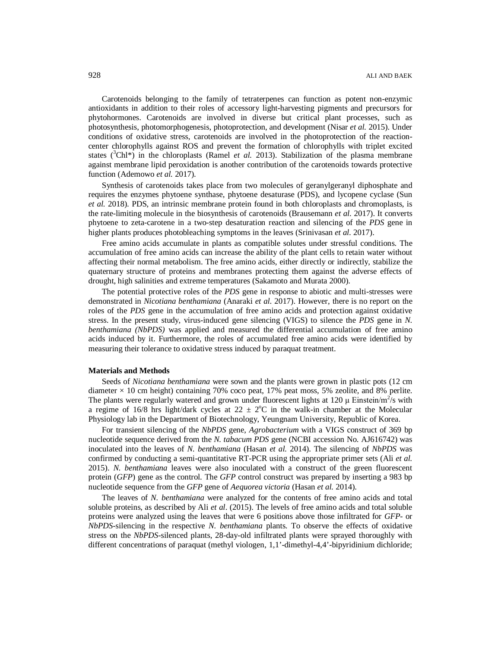Carotenoids belonging to the family of tetraterpenes can function as potent non-enzymic antioxidants in addition to their roles of accessory light-harvesting pigments and precursors for phytohormones. Carotenoids are involved in diverse but critical plant processes, such as photosynthesis, photomorphogenesis, photoprotection, and development (Nisar *et al.* 2015). Under conditions of oxidative stress, carotenoids are involved in the photoprotection of the reactioncenter chlorophylls against ROS and prevent the formation of chlorophylls with triplet excited states  $({}^{3}ChI*)$  in the chloroplasts (Ramel *et al.* 2013). Stabilization of the plasma membrane against membrane lipid peroxidation is another contribution of the carotenoids towards protective function (Ademowo *et al.* 2017).

Synthesis of carotenoids takes place from two molecules of geranylgeranyl diphosphate and requires the enzymes phytoene synthase, phytoene desaturase (PDS), and lycopene cyclase (Sun *et al.* 2018). PDS, an intrinsic membrane protein found in both chloroplasts and chromoplasts, is the rate-limiting molecule in the biosynthesis of carotenoids (Brausemann *et al.* 2017). It converts phytoene to zeta-carotene in a two-step desaturation reaction and silencing of the *PDS* gene in higher plants produces photobleaching symptoms in the leaves (Srinivasan *et al.* 2017).

Free amino acids accumulate in plants as compatible solutes under stressful conditions. The accumulation of free amino acids can increase the ability of the plant cells to retain water without affecting their normal metabolism. The free amino acids, either directly or indirectly, stabilize the quaternary structure of proteins and membranes protecting them against the adverse effects of drought, high salinities and extreme temperatures (Sakamoto and Murata 2000).

The potential protective roles of the *PDS* gene in response to abiotic and multi-stresses were demonstrated in *Nicotiana benthamiana* (Anaraki *et al.* 2017). However, there is no report on the roles of the *PDS* gene in the accumulation of free amino acids and protection against oxidative stress. In the present study, virus-induced gene silencing (VIGS) to silence the *PDS* gene in *N. benthamiana (NbPDS)* was applied and measured the differential accumulation of free amino acids induced by it. Furthermore, the roles of accumulated free amino acids were identified by measuring their tolerance to oxidative stress induced by paraquat treatment.

#### **Materials and Methods**

Seeds of *Nicotiana benthamiana* were sown and the plants were grown in plastic pots (12 cm diameter  $\times$  10 cm height) containing 70% coco peat, 17% peat moss, 5% zeolite, and 8% perlite. The plants were regularly watered and grown under fluorescent lights at 120  $\mu$  Einstein/m<sup>2</sup>/s with a regime of 16/8 hrs light/dark cycles at  $22 \pm 2$ °C in the walk-in chamber at the Molecular Physiology lab in the Department of Biotechnology, Yeungnam University, Republic of Korea.

For transient silencing of the *NbPDS* gene, *Agrobacterium* with a VIGS construct of 369 bp nucleotide sequence derived from the *N. tabacum PDS* gene (NCBI accession No. AJ616742) was inoculated into the leaves of *N. benthamiana* (Hasan *et al.* 2014). The silencing of *NbPDS* was confirmed by conducting a semi-quantitative RT-PCR using the appropriate primer sets (Ali *et al.* 2015). *N. benthamiana* leaves were also inoculated with a construct of the green fluorescent protein (*GFP*) gene as the control. The *GFP* control construct was prepared by inserting a 983 bp nucleotide sequence from the *GFP* gene of *Aequorea victoria* (Hasan *et al.* 2014).

The leaves of *N. benthamiana* were analyzed for the contents of free amino acids and total soluble proteins, as described by Ali *et al*. (2015). The levels of free amino acids and total soluble proteins were analyzed using the leaves that were 6 positions above those infiltrated for *GFP*- or *NbPDS*-silencing in the respective *N. benthamiana* plants*.* To observe the effects of oxidative stress on the *NbPDS*-silenced plants, 28-day-old infiltrated plants were sprayed thoroughly with different concentrations of paraquat (methyl viologen, 1,1'-dimethyl-4,4'-bipyridinium dichloride;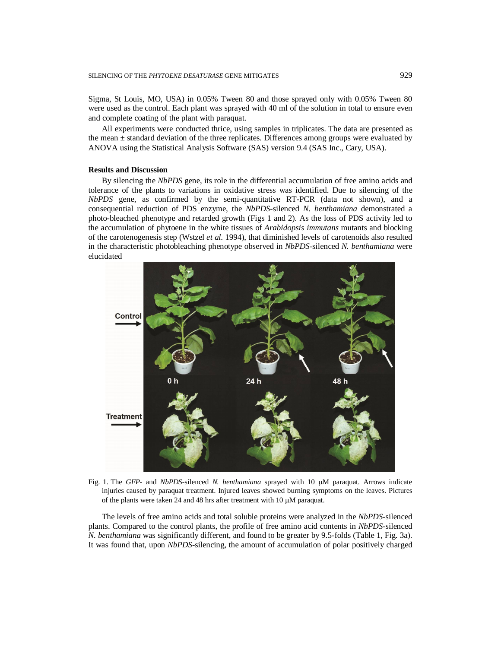Sigma, St Louis, MO, USA) in 0.05% Tween 80 and those sprayed only with 0.05% Tween 80 were used as the control. Each plant was sprayed with 40 ml of the solution in total to ensure even and complete coating of the plant with paraquat.

All experiments were conducted thrice, using samples in triplicates. The data are presented as the mean  $\pm$  standard deviation of the three replicates. Differences among groups were evaluated by ANOVA using the Statistical Analysis Software (SAS) version 9.4 (SAS Inc., Cary, USA).

## **Results and Discussion**

By silencing the *NbPDS* gene, its role in the differential accumulation of free amino acids and tolerance of the plants to variations in oxidative stress was identified. Due to silencing of the *NbPDS* gene, as confirmed by the semi-quantitative RT-PCR (data not shown), and a consequential reduction of PDS enzyme, the *NbPDS*-silenced *N. benthamiana* demonstrated a photo-bleached phenotype and retarded growth (Figs 1 and 2). As the loss of PDS activity led to the accumulation of phytoene in the white tissues of *Arabidopsis immutans* mutants and blocking of the carotenogenesis step (Wstzel *et al.* 1994), that diminished levels of carotenoids also resulted in the characteristic photobleaching phenotype observed in *NbPDS-*silenced *N. benthamiana* were elucidated



Fig. 1. The *GFP*- and *NbPDS*-silenced *N. benthamiana* sprayed with 10  $\mu$ M paraquat. Arrows indicate injuries caused by paraquat treatment. Injured leaves showed burning symptoms on the leaves. Pictures of the plants were taken 24 and 48 hrs after treatment with 10  $\mu$ M paraquat.

The levels of free amino acids and total soluble proteins were analyzed in the *NbPDS*-silenced plants. Compared to the control plants, the profile of free amino acid contents in *NbPDS*-silenced *N. benthamiana* was significantly different, and found to be greater by 9.5-folds (Table 1, Fig. 3a). It was found that, upon *NbPDS*-silencing, the amount of accumulation of polar positively charged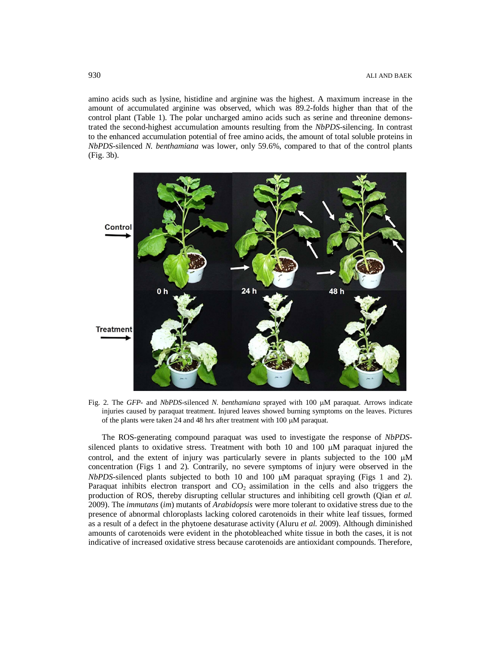amino acids such as lysine, histidine and arginine was the highest. A maximum increase in the amount of accumulated arginine was observed, which was 89.2-folds higher than that of the control plant (Table 1). The polar uncharged amino acids such as serine and threonine demonstrated the second-highest accumulation amounts resulting from the *NbPDS*-silencing. In contrast to the enhanced accumulation potential of free amino acids, the amount of total soluble proteins in *NbPDS*-silenced *N. benthamiana* was lower, only 59.6%, compared to that of the control plants (Fig. 3b).



Fig. 2. The *GFP*- and *NbPDS*-silenced *N. benthamiana* sprayed with 100  $\mu$ M paraquat. Arrows indicate injuries caused by paraquat treatment. Injured leaves showed burning symptoms on the leaves. Pictures of the plants were taken 24 and 48 hrs after treatment with  $100 \mu M$  paraquat.

The ROS-generating compound paraquat was used to investigate the response of *NbPDS*silenced plants to oxidative stress. Treatment with both 10 and 100  $\mu$ M paraquat injured the control, and the extent of injury was particularly severe in plants subjected to the  $100 \mu M$ concentration (Figs 1 and 2). Contrarily, no severe symptoms of injury were observed in the *NbPDS*-silenced plants subjected to both 10 and 100  $\mu$ M paraquat spraying (Figs 1 and 2). Paraquat inhibits electron transport and  $CO<sub>2</sub>$  assimilation in the cells and also triggers the production of ROS, thereby disrupting cellular structures and inhibiting cell growth (Qian *et al.* 2009). The *immutans* (*im*) mutants of *Arabidopsis* were more tolerant to oxidative stress due to the presence of abnormal chloroplasts lacking colored carotenoids in their white leaf tissues, formed as a result of a defect in the phytoene desaturase activity (Aluru *et al.* 2009). Although diminished amounts of carotenoids were evident in the photobleached white tissue in both the cases, it is not indicative of increased oxidative stress because carotenoids are antioxidant compounds. Therefore,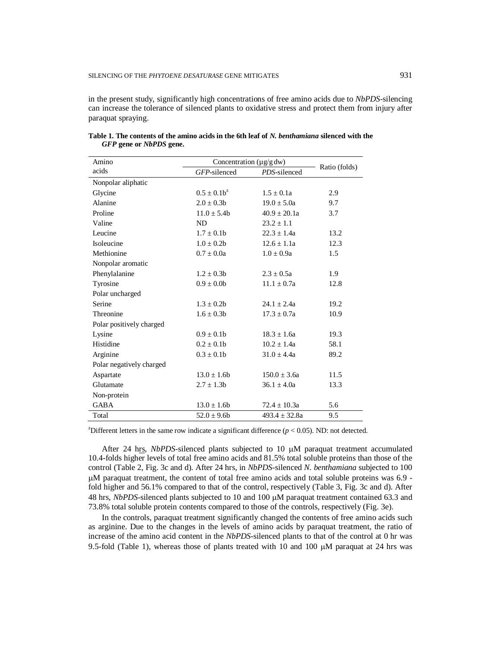in the present study, significantly high concentrations of free amino acids due to *NbPDS*-silencing can increase the tolerance of silenced plants to oxidative stress and protect them from injury after paraquat spraying.

| Amino                    | Concentration (µg/g dw) |                   |               |  |
|--------------------------|-------------------------|-------------------|---------------|--|
| acids                    | GFP-silenced            | PDS-silenced      | Ratio (folds) |  |
| Nonpolar aliphatic       |                         |                   |               |  |
| Glycine                  | $0.5 + 0.1b^2$          | $1.5 + 0.1a$      | 2.9           |  |
| Alanine                  | $2.0 \pm 0.3b$          | $19.0 \pm 5.0a$   | 9.7           |  |
| Proline                  | $11.0 + 5.4b$           | $40.9 + 20.1a$    | 3.7           |  |
| Valine                   | ND.                     | $23.2 \pm 1.1$    |               |  |
| Leucine                  | $1.7 \pm 0.1$ b         | $22.3 \pm 1.4a$   | 13.2          |  |
| Isoleucine               | $1.0 \pm 0.2b$          | $12.6 \pm 1.1a$   | 12.3          |  |
| Methionine               | $0.7 \pm 0.0a$          | $1.0 \pm 0.9a$    | 1.5           |  |
| Nonpolar aromatic        |                         |                   |               |  |
| Phenylalanine            | $1.2 \pm 0.3b$          | $2.3 + 0.5a$      | 1.9           |  |
| Tyrosine                 | $0.9 \pm 0.0$           | $11.1 \pm 0.7a$   | 12.8          |  |
| Polar uncharged          |                         |                   |               |  |
| Serine                   | $1.3 \pm 0.2b$          | $24.1 + 2.4a$     | 19.2          |  |
| Threonine                | $1.6 \pm 0.3b$          | $17.3 \pm 0.7a$   | 10.9          |  |
| Polar positively charged |                         |                   |               |  |
| Lysine                   | $0.9 \pm 0.1$           | $18.3 + 1.6a$     | 19.3          |  |
| Histidine                | $0.2 \pm 0.1$           | $10.2 \pm 1.4a$   | 58.1          |  |
| Arginine                 | $0.3 \pm 0.1$           | $31.0 \pm 4.4a$   | 89.2          |  |
| Polar negatively charged |                         |                   |               |  |
| Aspartate                | $13.0 + 1.6b$           | $150.0 + 3.6a$    | 11.5          |  |
| Glutamate                | $2.7 \pm 1.3b$          | $36.1 \pm 4.0a$   | 13.3          |  |
| Non-protein              |                         |                   |               |  |
| <b>GABA</b>              | $13.0 \pm 1.6b$         | $72.4 \pm 10.3a$  | 5.6           |  |
| Total                    | $52.0 \pm 9.6$          | $493.4 \pm 32.8a$ | 9.5           |  |

**Table 1. The contents of the amino acids in the 6th leaf of** *N. benthamiana* **silenced with the**  *GFP* **gene or** *NbPDS* **gene.** 

<sup>z</sup>Different letters in the same row indicate a significant difference ( $p < 0.05$ ). ND: not detected.

After 24 hrs, *NbPDS*-silenced plants subjected to 10  $\mu$ M paraquat treatment accumulated 10.4-folds higher levels of total free amino acids and 81.5% total soluble proteins than those of the control (Table 2, Fig. 3c and d). After 24 hrs, in *NbPDS*-silenced *N. benthamiana* subjected to 100 M paraquat treatment, the content of total free amino acids and total soluble proteins was 6.9 fold higher and 56.1% compared to that of the control, respectively (Table 3, Fig. 3c and d). After 48 hrs, *NbPDS*-silenced plants subjected to 10 and 100 M paraquat treatment contained 63.3 and 73.8% total soluble protein contents compared to those of the controls, respectively (Fig. 3e).

In the controls, paraquat treatment significantly changed the contents of free amino acids such as arginine. Due to the changes in the levels of amino acids by paraquat treatment, the ratio of increase of the amino acid content in the *NbPDS*-silenced plants to that of the control at 0 hr was 9.5-fold (Table 1), whereas those of plants treated with 10 and 100  $\mu$ M paraquat at 24 hrs was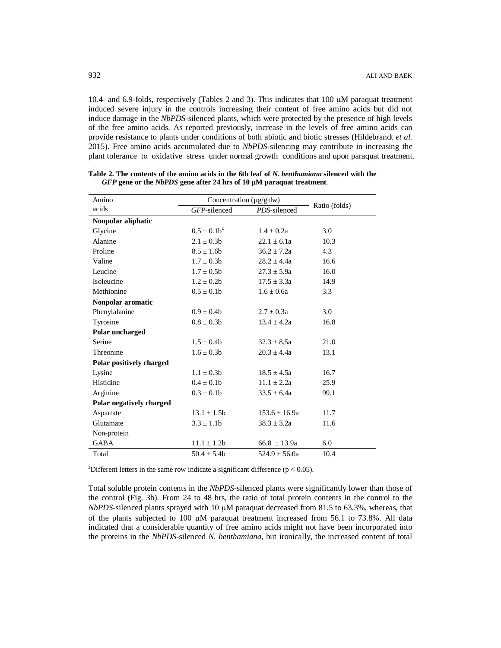10.4- and 6.9-folds, respectively (Tables 2 and 3). This indicates that  $100 \mu M$  paraquat treatment induced severe injury in the controls increasing their content of free amino acids but did not induce damage in the *NbPDS*-silenced plants, which were protected by the presence of high levels of the free amino acids. As reported previously, increase in the levels of free amino acids can provide resistance to plants under conditions of both abiotic and biotic stresses (Hildebrandt *et al.* 2015). Free amino acids accumulated due to *NbPDS*-silencing may contribute in increasing the plant tolerance to oxidative stress under normal growth conditions and upon paraquat treatment.

| Amino                    | Concentration (µg/g dw) |                   |               |
|--------------------------|-------------------------|-------------------|---------------|
| acids                    | GFP-silenced            | PDS-silenced      | Ratio (folds) |
| Nonpolar aliphatic       |                         |                   |               |
| Glycine                  | $0.5 \pm 0.1b^z$        | $1.4 \pm 0.2a$    | 3.0           |
| Alanine                  | $2.1 \pm 0.3b$          | $22.1 \pm 6.1a$   | 10.3          |
| Proline                  | $8.5 + 1.6$ h           | $36.2 \pm 7.2a$   | 4.3           |
| Valine                   | $1.7 \pm 0.3b$          | $28.2 \pm 4.4a$   | 16.6          |
| Leucine                  | $1.7 \pm 0.5b$          | $27.3 \pm 5.9a$   | 16.0          |
| Isoleucine               | $1.2 \pm 0.2b$          | $17.5 \pm 3.3a$   | 14.9          |
| Methionine               | $0.5 \pm 0.1$           | $1.6 \pm 0.6a$    | 3.3           |
| Nonpolar aromatic        |                         |                   |               |
| Phenylalanine            | $0.9 \pm 0.4b$          | $2.7 + 0.3a$      | 3.0           |
| Tyrosine                 | $0.8 \pm 0.3b$          | $13.4 \pm 4.2a$   | 16.8          |
| Polar uncharged          |                         |                   |               |
| Serine                   | $1.5 \pm 0.4b$          | $32.3 \pm 8.5a$   | 21.0          |
| Threonine                | $1.6 \pm 0.3b$          | $20.3 \pm 4.4a$   | 13.1          |
| Polar positively charged |                         |                   |               |
| Lysine                   | $1.1 \pm 0.3b$          | $18.5 \pm 4.5a$   | 16.7          |
| Histidine                | $0.4 + 0.1$             | $11.1 \pm 2.2a$   | 25.9          |
| Arginine                 | $0.3 \pm 0.1$           | $33.5 \pm 6.4a$   | 99.1          |
| Polar negatively charged |                         |                   |               |
| Aspartate                | $13.1 \pm 1.5b$         | $153.6 \pm 16.9a$ | 11.7          |
| Glutamate                | $3.3 \pm 1.1$           | $38.3 \pm 3.2a$   | 11.6          |
| Non-protein              |                         |                   |               |
| <b>GABA</b>              | $11.1 \pm 1.2b$         | $66.8 \pm 13.9a$  | 6.0           |
| Total                    | $50.4 \pm 5.4b$         | $524.9 \pm 56.0a$ | 10.4          |

**Table 2. The contents of the amino acids in the 6th leaf of** *N. benthamiana* **silenced with the**  *GFP* **gene or the** *NbPDS* **gene after 24 hrs of 10 µM paraquat treatment**.

<sup>z</sup>Different letters in the same row indicate a significant difference ( $p < 0.05$ ).

Total soluble protein contents in the *NbPDS*-silenced plants were significantly lower than those of the control (Fig. 3b). From 24 to 48 hrs, the ratio of total protein contents in the control to the  $NbPDS$ -silenced plants sprayed with 10  $\mu$ M paraquat decreased from 81.5 to 63.3%, whereas, that of the plants subjected to 100  $\mu$ M paraquat treatment increased from 56.1 to 73.8%. All data indicated that a considerable quantity of free amino acids might not have been incorporated into the proteins in the *NbPDS*-silenced *N. benthamiana*, but ironically, the increased content of total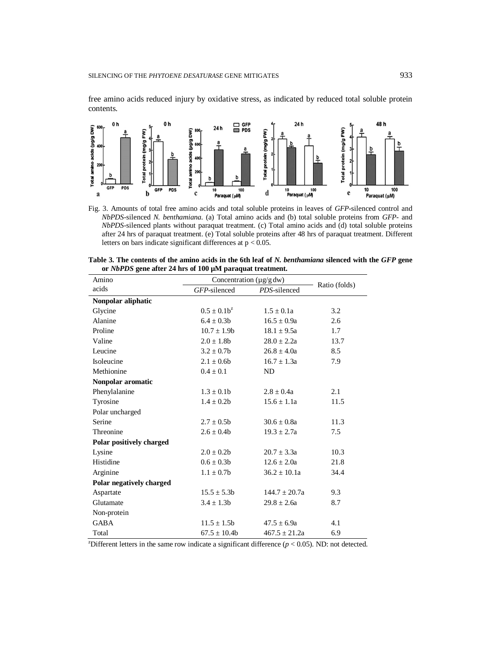free amino acids reduced injury by oxidative stress, as indicated by reduced total soluble protein contents.



Fig. 3. Amounts of total free amino acids and total soluble proteins in leaves of *GFP*-silenced control and *NbPDS*-silenced *N. benthamiana*. (a) Total amino acids and (b) total soluble proteins from *GFP*- and *NbPDS*-silenced plants without paraquat treatment. (c) Total amino acids and (d) total soluble proteins after 24 hrs of paraquat treatment. (e) Total soluble proteins after 48 hrs of paraquat treatment. Different letters on bars indicate significant differences at  $p < 0.05$ .

| or <i>ivor DS</i> gene after 24 hrs of two <u>film</u> paraquat treatment. |                              |                   |               |  |
|----------------------------------------------------------------------------|------------------------------|-------------------|---------------|--|
| Amino                                                                      | Concentration $(\mu g/g dw)$ |                   |               |  |
| acids                                                                      | GFP-silenced                 | PDS-silenced      | Ratio (folds) |  |
| Nonpolar aliphatic                                                         |                              |                   |               |  |
| Glycine                                                                    | $0.5 \pm 0.1b^z$             | $1.5 \pm 0.1a$    | 3.2           |  |
| Alanine                                                                    | $6.4 \pm 0.3b$               | $16.5 \pm 0.9a$   | 2.6           |  |
| Proline                                                                    | $10.7 \pm 1.9b$              | $18.1 \pm 9.5a$   | $1.7\,$       |  |
| Valine                                                                     | $2.0 \pm 1.8b$               | $28.0 \pm 2.2a$   | 13.7          |  |
| Leucine                                                                    | $3.2 \pm 0.7$                | $26.8 \pm 4.0a$   | 8.5           |  |
| Isoleucine                                                                 | $2.1 \pm 0.6b$               | $16.7 \pm 1.3a$   | 7.9           |  |
| Methionine                                                                 | $0.4 \pm 0.1$                | ND                |               |  |
| Nonpolar aromatic                                                          |                              |                   |               |  |
| Phenylalanine                                                              | $1.3 \pm 0.1$                | $2.8 + 0.4a$      | 2.1           |  |
| Tyrosine                                                                   | $1.4 \pm 0.2b$               | $15.6 \pm 1.1a$   | 11.5          |  |
| Polar uncharged                                                            |                              |                   |               |  |
| Serine                                                                     | $2.7 + 0.5h$                 | $30.6 + 0.8a$     | 11.3          |  |
| Threonine                                                                  | $2.6 \pm 0.4b$               | $19.3 \pm 2.7a$   | 7.5           |  |
| Polar positively charged                                                   |                              |                   |               |  |
| Lysine                                                                     | $2.0 + 0.2b$                 | $20.7 \pm 3.3a$   | 10.3          |  |
| Histidine                                                                  | $0.6 \pm 0.3b$               | $12.6 \pm 2.0a$   | 21.8          |  |
| Arginine                                                                   | $1.1 \pm 0.7$ b              | $36.2 \pm 10.1a$  | 34.4          |  |
| Polar negatively charged                                                   |                              |                   |               |  |
| Aspartate                                                                  | $15.5 + 5.3b$                | $144.7 + 20.7a$   | 9.3           |  |
| Glutamate                                                                  | $3.4 \pm 1.3b$               | $29.8 \pm 2.6a$   | 8.7           |  |
| Non-protein                                                                |                              |                   |               |  |
| <b>GABA</b>                                                                | $11.5 \pm 1.5b$              | $47.5 \pm 6.9a$   | 4.1           |  |
| Total                                                                      | $67.5 \pm 10.4b$             | $467.5 \pm 21.2a$ | 6.9           |  |

| Table 3. The contents of the amino acids in the 6th leaf of N. benthamiana silenced with the GFP gene |  |  |
|-------------------------------------------------------------------------------------------------------|--|--|
| or <i>NbPDS</i> gene after 24 hrs of 100 µM paraquat treatment.                                       |  |  |

<sup>z</sup>Different letters in the same row indicate a significant difference ( $p < 0.05$ ). ND: not detected.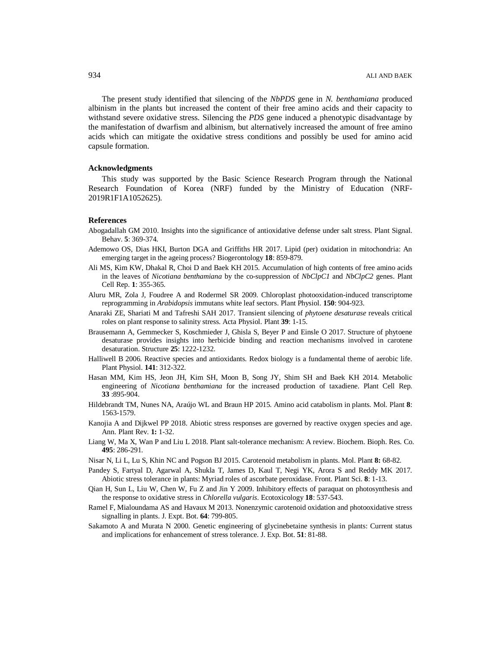The present study identified that silencing of the *NbPDS* gene in *N. benthamiana* produced albinism in the plants but increased the content of their free amino acids and their capacity to withstand severe oxidative stress. Silencing the *PDS* gene induced a phenotypic disadvantage by the manifestation of dwarfism and albinism, but alternatively increased the amount of free amino acids which can mitigate the oxidative stress conditions and possibly be used for amino acid capsule formation.

#### **Acknowledgments**

This study was supported by the Basic Science Research Program through the National Research Foundation of Korea (NRF) funded by the Ministry of Education (NRF-2019R1F1A1052625).

### **References**

- Abogadallah GM 2010. Insights into the significance of antioxidative defense under salt stress. Plant Signal. Behav. **5**: 369-374.
- Ademowo OS, Dias HKI, Burton DGA and Griffiths HR 2017. Lipid (per) oxidation in mitochondria: An emerging target in the ageing process? Biogerontology **18**: 859-879.
- Ali MS, Kim KW, Dhakal R, Choi D and Baek KH 2015. Accumulation of high contents of free amino acids in the leaves of *Nicotiana benthamiana* by the co-suppression of *NbClpC1* and *NbClpC2* genes. Plant Cell Rep. **1**: 355-365.
- Aluru MR, Zola J, Foudree A and Rodermel SR 2009. Chloroplast photooxidation-induced transcriptome reprogramming in *Arabidopsis* immutans white leaf sectors. Plant Physiol. **150**: 904-923.
- Anaraki ZE, Shariati M and Tafreshi SAH 2017. Transient silencing of *phytoene desaturase* reveals critical roles on plant response to salinity stress. Acta Physiol. Plant **39**: 1-15.
- Brausemann A, Gemmecker S, Koschmieder J, Ghisla S, Beyer P and Einsle O 2017. Structure of phytoene desaturase provides insights into herbicide binding and reaction mechanisms involved in carotene desaturation. Structure **25**: 1222-1232.
- Halliwell B 2006. Reactive species and antioxidants. Redox biology is a fundamental theme of aerobic life. Plant Physiol. **141**: 312-322.
- Hasan MM, Kim HS, Jeon JH, Kim SH, Moon B, Song JY, Shim SH and Baek KH 2014. Metabolic engineering of *Nicotiana benthamiana* for the increased production of taxadiene. Plant Cell Rep. **33** :895-904.
- Hildebrandt TM, Nunes NA, Araújo WL and Braun HP 2015. Amino acid catabolism in plants. Mol. Plant **8**: 1563-1579.
- Kanojia A and Dijkwel PP 2018. Abiotic stress responses are governed by reactive oxygen species and age. Ann. Plant Rev. **1:** 1-32.
- Liang W, Ma X, Wan P and Liu L 2018. Plant salt-tolerance mechanism: A review. Biochem. Bioph. Res. Co. **495**: 286-291.
- Nisar N, Li L, Lu S, Khin NC and Pogson BJ 2015. Carotenoid metabolism in plants. Mol. Plant **8:** 68-82.
- Pandey S, Fartyal D, Agarwal A, Shukla T, James D, Kaul T, Negi YK, Arora S and Reddy MK 2017. Abiotic stress tolerance in plants: Myriad roles of ascorbate peroxidase. Front. Plant Sci. **8**: 1-13.
- Qian H, Sun L, Liu W, Chen W, Fu Z and Jin Y 2009. Inhibitory effects of paraquat on photosynthesis and the response to oxidative stress in *Chlorella vulgaris*. Ecotoxicology **18**: 537-543.
- Ramel F, Mialoundama AS and Havaux M 2013. Nonenzymic carotenoid oxidation and photooxidative stress signalling in plants. J. Expt. Bot. **64**: 799-805.
- Sakamoto A and Murata N 2000. Genetic engineering of glycinebetaine synthesis in plants: Current status and implications for enhancement of stress tolerance. J. Exp. Bot. **51**: 81-88.